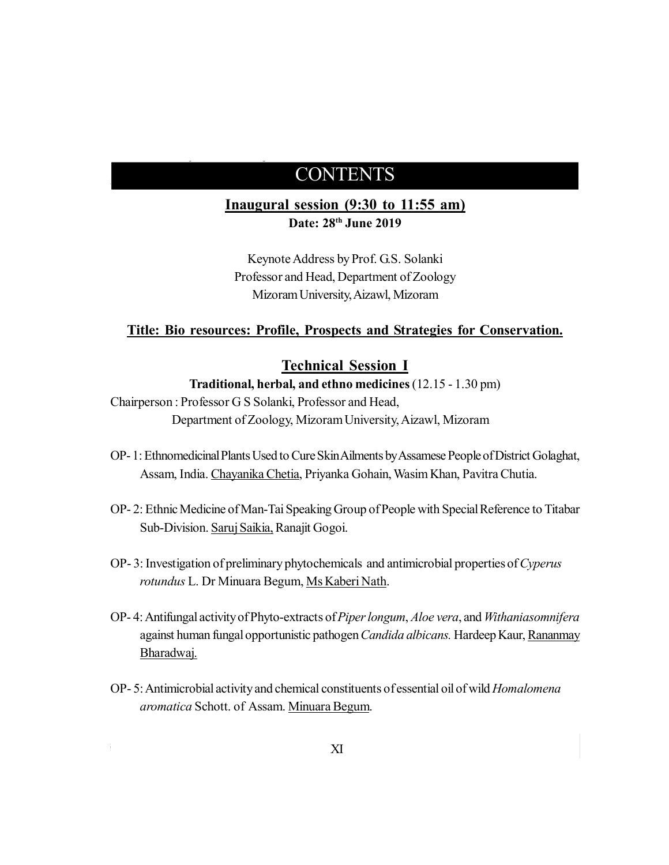## *Conservation and Preservation of Bioresources in North-East India* CONTENTS

**I S B N: 9 7 8 - 8- 9 4 1 5 7 4- 0 - 3**

### **Inaugural session (9:30 to 11:55 am) Date: 28th June 2019**

Keynote Address by Prof. G.S. Solanki Professor and Head, Department of Zoology Mizoram University, Aizawl, Mizoram

#### **Title: Bio resources: Profile, Prospects and Strategies for Conservation.**

### **Technical Session I**

**Traditional, herbal, and ethno medicines** (12.15 - 1.30 pm)

- Chairperson : Professor G S Solanki, Professor and Head, Department of Zoology, Mizoram University, Aizawl, Mizoram
- OP- 1: Ethnomedicinal Plants Used to Cure Skin Ailments by Assamese People of District Golaghat, Assam, India. Chayanika Chetia, Priyanka Gohain, Wasim Khan, Pavitra Chutia.
- OP- 2: Ethnic Medicine of Man-Tai Speaking Group of People with Special Reference to Titabar Sub-Division. Saruj Saikia, Ranajit Gogoi.
- OP- 3: Investigation of preliminary phytochemicals and antimicrobial properties of *Cyperus rotundus* L. Dr Minuara Begum, Ms Kaberi Nath.
- OP- 4: Antifungal activity of Phyto-extracts of *Piper longum*, *Aloe vera*, and *Withaniasomnifera* against human fungal opportunistic pathogen *Candida albicans.* Hardeep Kaur, Rananmay Bharadwaj.
- OP- 5: Antimicrobial activity and chemical constituents of essential oil of wild *Homalomena aromatica* Schott. of Assam. Minuara Begum.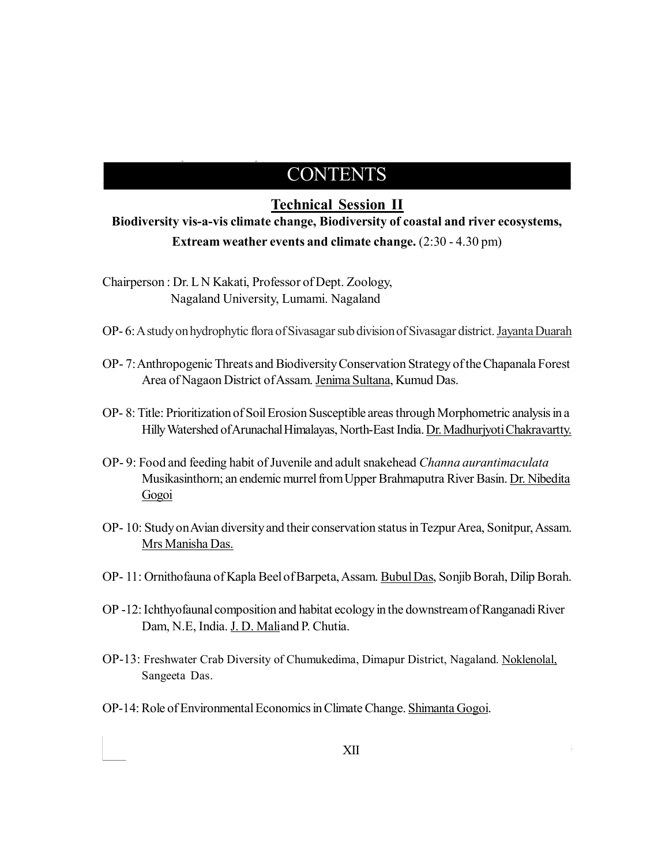# $P = \text{CONTENTS}$

### **Technical Session II**

**Biodiversity vis-a-vis climate change, Biodiversity of coastal and river ecosystems, Extream weather events and climate change.**  $(2:30 - 4.30 \text{ pm})$ 

Chairperson : Dr. L N Kakati, Professor of Dept. Zoology, Nagaland University, Lumami. Nagaland

- OP- 6: A study on hydrophytic flora of Sivasagar sub division of Sivasagar district. Jayanta Duarah
- OP- 7: Anthropogenic Threats and Biodiversity Conservation Strategy of the Chapanala Forest Area of Nagaon District of Assam. Jenima Sultana, Kumud Das.
- OP- 8: Title: Prioritization of Soil Erosion Susceptible areas through Morphometric analysis in a Hilly Watershed of Arunachal Himalayas, North-East India. Dr. Madhurjyoti Chakravartty.
- OP- 9: Food and feeding habit of Juvenile and adult snakehead *Channa aurantimaculata* Musikasinthorn; an endemic murrel from Upper Brahmaputra River Basin. Dr. Nibedita Gogoi
- OP- 10: Study on Avian diversity and their conservation status in Tezpur Area, Sonitpur, Assam. Mrs Manisha Das.
- OP- 11: Ornithofauna of Kapla Beel of Barpeta, Assam. Bubul Das, Sonjib Borah, Dilip Borah.
- OP -12: Ichthyofaunal composition and habitat ecology in the downstream of Ranganadi River Dam, N.E, India. J. D. Maliand P. Chutia.
- OP-13: Freshwater Crab Diversity of Chumukedima, Dimapur District, Nagaland. Noklenolal, Sangeeta Das.
- OP-14: Role of Environmental Economics in Climate Change. Shimanta Gogoi.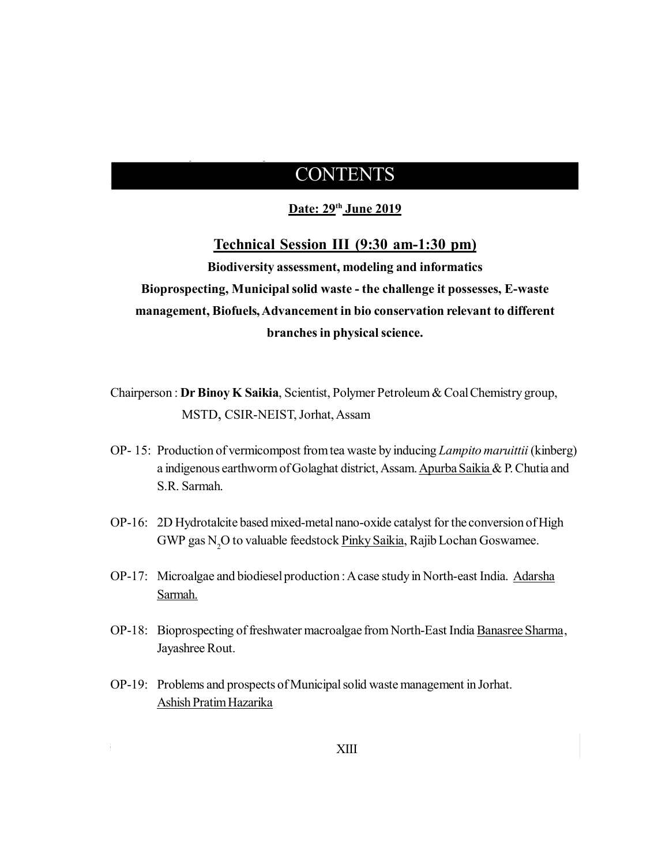*North-East India*

**I S B N: 9 7 8 - 8- 9 4 1 5 7 4- 0 - 3**

#### **Date: 29th June 2019**

#### **Technical Session III (9:30 am-1:30 pm)**

**Biodiversity assessment, modeling and informatics Bioprospecting, Municipal solid waste - the challenge it possesses, E-waste management, Biofuels, Advancement in bio conservation relevant to different branches in physical science.**

Chairperson : **Dr Binoy K Saikia**, Scientist, Polymer Petroleum & Coal Chemistry group, MSTD, CSIR-NEIST, Jorhat, Assam

- OP- 15: Production of vermicompost from tea waste by inducing *Lampito maruittii* (kinberg) a indigenous earthworm of Golaghat district, Assam. Apurba Saikia & P. Chutia and S.R. Sarmah.
- OP-16: 2D Hydrotalcite based mixed-metal nano-oxide catalyst for the conversion of High GWP gas N<sub>2</sub>O to valuable feedstock Pinky Saikia, Rajib Lochan Goswamee.
- OP-17: Microalgae and biodiesel production : A case study in North-east India. Adarsha Sarmah.
- OP-18: Bioprospecting of freshwater macroalgae from North-East India Banasree Sharma, Jayashree Rout.
- OP-19: Problems and prospects of Municipal solid waste management in Jorhat. Ashish Pratim Hazarika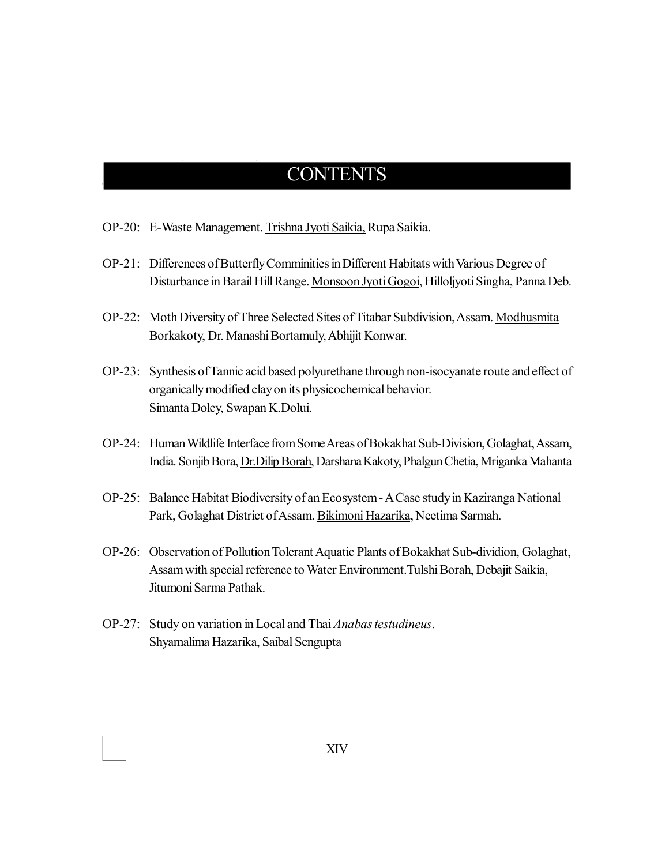**I S B N: 9 7 8 - 8- 9 4 1 5 7 4- 0 - 3**

OP-20: E-Waste Management. Trishna Jyoti Saikia, Rupa Saikia.

- OP-21: Differences of Butterfly Comminities in Different Habitats with Various Degree of Disturbance in Barail Hill Range. Monsoon Jyoti Gogoi, Hilloljyoti Singha, Panna Deb.
- OP-22: Moth Diversity of Three Selected Sites of Titabar Subdivision, Assam. Modhusmita Borkakoty, Dr. Manashi Bortamuly, Abhijit Konwar.
- OP-23: Synthesis of Tannic acid based polyurethane through non-isocyanate route and effect of organically modified clay on its physicochemical behavior. Simanta Doley, Swapan K.Dolui.
- OP-24: Human Wildlife Interface from Some Areas of Bokakhat Sub-Division, Golaghat, Assam, India. Sonjib Bora, Dr.Dilip Borah, Darshana Kakoty, Phalgun Chetia, Mriganka Mahanta
- OP-25: Balance Habitat Biodiversity of an Ecosystem A Case study in Kaziranga National Park, Golaghat District of Assam. Bikimoni Hazarika, Neetima Sarmah.
- OP-26: Observation of Pollution Tolerant Aquatic Plants of Bokakhat Sub-dividion, Golaghat, Assam with special reference to Water Environment.Tulshi Borah, Debajit Saikia, Jitumoni Sarma Pathak.
- OP-27: Study on variation in Local and Thai *Anabas testudineus*. Shyamalima Hazarika, Saibal Sengupta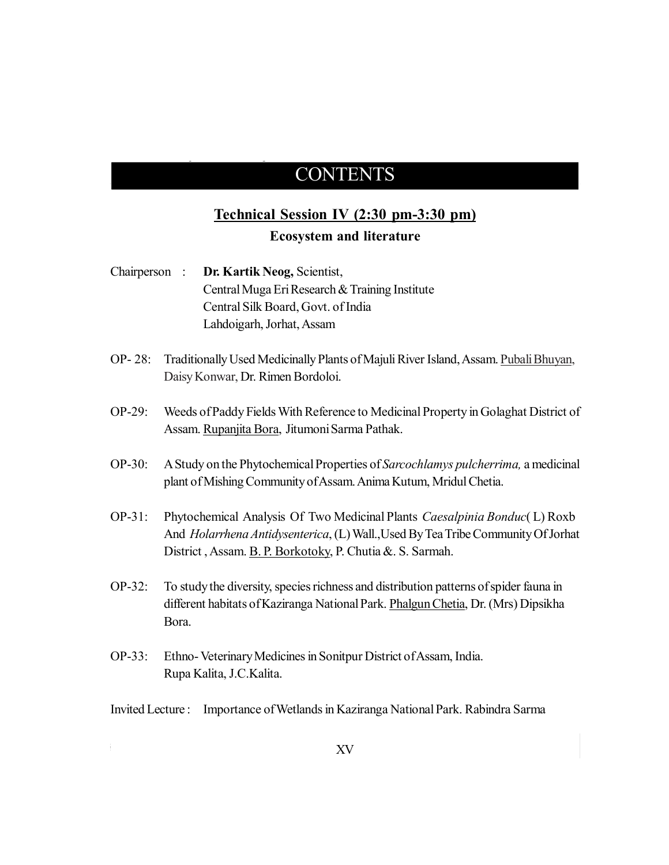**I S B N: 9 7 8 - 8- 9 4 1 5 7 4- 0 - 3**

### **Technical Session IV (2:30 pm-3:30 pm) Ecosystem and literature**

Chairperson : **Dr. Kartik Neog,** Scientist, Central Muga Eri Research & Training Institute Central Silk Board, Govt. of India Lahdoigarh, Jorhat, Assam

- OP- 28: Traditionally Used Medicinally Plants of Majuli River Island, Assam. Pubali Bhuyan, Daisy Konwar, Dr. Rimen Bordoloi.
- OP-29: Weeds of Paddy Fields With Reference to Medicinal Property in Golaghat District of Assam. Rupanjita Bora, Jitumoni Sarma Pathak.
- OP-30: A Study on the Phytochemical Properties of *Sarcochlamys pulcherrima,* a medicinal plant of Mishing Community of Assam. Anima Kutum, Mridul Chetia.
- OP-31: Phytochemical Analysis Of Two Medicinal Plants *Caesalpinia Bonduc*( L) Roxb And *Holarrhena Antidysenterica*, (L) Wall.,Used By Tea Tribe Community Of Jorhat District , Assam. B. P. Borkotoky, P. Chutia &. S. Sarmah.
- OP-32: To study the diversity, species richness and distribution patterns of spider fauna in different habitats of Kaziranga National Park. Phalgun Chetia, Dr. (Mrs) Dipsikha Bora.
- OP-33: Ethno- Veterinary Medicines in Sonitpur District of Assam, India. Rupa Kalita, J.C.Kalita.
- Invited Lecture : Importance of Wetlands in Kaziranga National Park. Rabindra Sarma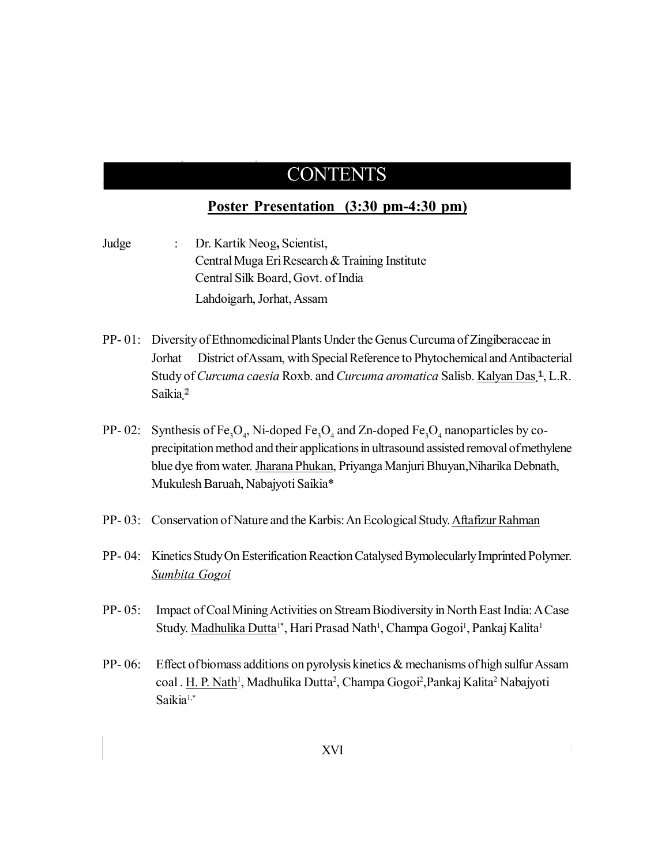## $P = \text{CONTENTS}$

### **Poster Presentation (3:30 pm-4:30 pm)**

Judge : Dr. Kartik Neog**,** Scientist, Central Muga Eri Research & Training Institute Central Silk Board, Govt. of India Lahdoigarh, Jorhat, Assam

- PP- 01: Diversity of Ethnomedicinal Plants Under the Genus Curcuma of Zingiberaceae in Jorhat District of Assam, with Special Reference to Phytochemical and Antibacterial Study of *Curcuma caesia* Roxb. and *Curcuma aromatica* Salisb. Kalyan Das<sup>1</sup>, L.R. Saikia.<sup>2</sup>
- PP-02: Synthesis of  $Fe_3O_4$ , Ni-doped  $Fe_3O_4$  and Zn-doped  $Fe_3O_4$  nanoparticles by coprecipitation method and their applications in ultrasound assisted removal of methylene blue dye from water. Jharana Phukan, Priyanga Manjuri Bhuyan,Niharika Debnath, Mukulesh Baruah, Nabajyoti Saikia\*
- PP- 03: Conservation of Nature and the Karbis: An Ecological Study. Aftafizur Rahman
- PP- 04: Kinetics Study On Esterification Reaction Catalysed Bymolecularly Imprinted Polymer. *Sumbita Gogoi*
- PP- 05: Impact of Coal Mining Activities on Stream Biodiversity in North East India: A Case Study. Madhulika Dutta<sup>1\*</sup>, Hari Prasad Nath<sup>1</sup>, Champa Gogoi<sup>1</sup>, Pankaj Kalita<sup>1</sup>
- PP- 06: Effect of biomass additions on pyrolysis kinetics & mechanisms of high sulfur Assam coal . <u>H. P. Nath</u><sup>1</sup>, Madhulika Dutta<sup>2</sup>, Champa Gogoi<sup>2</sup>,Pankaj Kalita<sup>2</sup> Nabajyoti Saikia<sup>1,\*</sup>